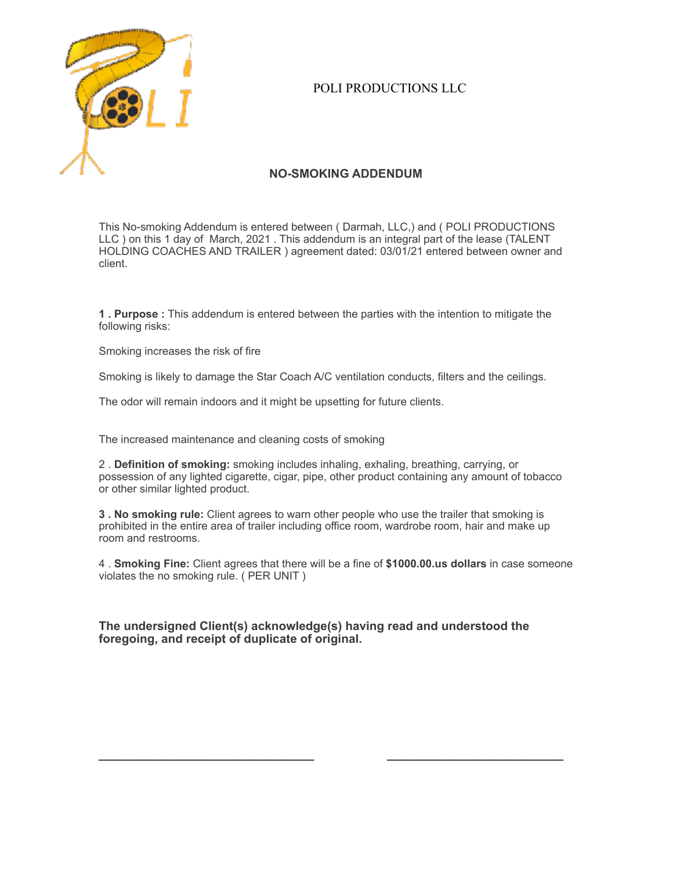

## POLI PRODUCTIONS LLC

## **NO-SMOKING ADDENDUM**

This No-smoking Addendum is entered between ( Darmah, LLC,) and ( POLI PRODUCTIONS LLC ) on this 1 day of March, 2021 . This addendum is an integral part of the lease (TALENT HOLDING COACHES AND TRAILER ) agreement dated: 03/01/21 entered between owner and client.

**1 . Purpose :** This addendum is entered between the parties with the intention to mitigate the following risks:

Smoking increases the risk of fire

Smoking is likely to damage the Star Coach A/C ventilation conducts, filters and the ceilings.

The odor will remain indoors and it might be upsetting for future clients.

The increased maintenance and cleaning costs of smoking

2 . **Definition of smoking:** smoking includes inhaling, exhaling, breathing, carrying, or possession of any lighted cigarette, cigar, pipe, other product containing any amount of tobacco or other similar lighted product.

**3 . No smoking rule:** Client agrees to warn other people who use the trailer that smoking is prohibited in the entire area of trailer including office room, wardrobe room, hair and make up room and restrooms.

4 . **Smoking Fine:** Client agrees that there will be a fine of **\$1000.00.us dollars** in case someone violates the no smoking rule. ( PER UNIT )

**The undersigned Client(s) acknowledge(s) having read and understood the foregoing, and receipt of duplicate of original.**

 $\frac{1}{2}$  ,  $\frac{1}{2}$  ,  $\frac{1}{2}$  ,  $\frac{1}{2}$  ,  $\frac{1}{2}$  ,  $\frac{1}{2}$  ,  $\frac{1}{2}$  ,  $\frac{1}{2}$  ,  $\frac{1}{2}$  ,  $\frac{1}{2}$  ,  $\frac{1}{2}$  ,  $\frac{1}{2}$  ,  $\frac{1}{2}$  ,  $\frac{1}{2}$  ,  $\frac{1}{2}$  ,  $\frac{1}{2}$  ,  $\frac{1}{2}$  ,  $\frac{1}{2}$  ,  $\frac{1$